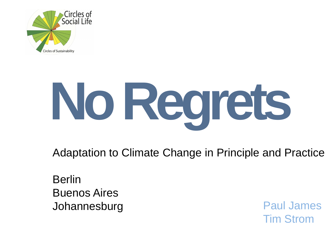

# **No Regrets**

Adaptation to Climate Change in Principle and Practice

Berlin Buenos Aires Johannesburg **Paul James** 

Tim Strom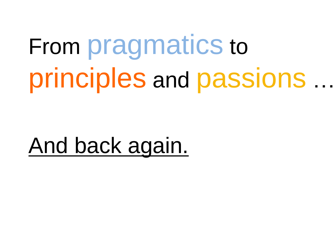From pragmatics to principles and passions …

And back again.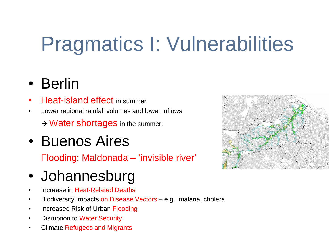# Pragmatics I: Vulnerabilities

# • Berlin

- **Heat-island effect in summer**
- Lower regional rainfall volumes and lower inflows  $\rightarrow$  Water shortages in the summer.
- Buenos Aires

Flooding: Maldonada – 'invisible river'

- Johannesburg
- Increase in Heat-Related Deaths
- Biodiversity Impacts on Disease Vectors e.g., malaria, cholera
- Increased Risk of Urban Flooding
- **Disruption to Water Security**
- Climate Refugees and Migrants

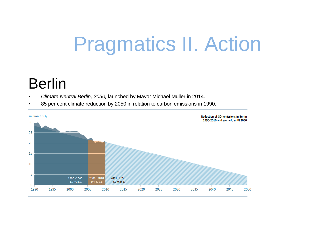# Pragmatics II. Action

# Berlin

- *Climate Neutral Berlin, 2050,* launched by Mayor Michael Muller in 2014.
- 85 per cent climate reduction by 2050 in relation to carbon emissions in 1990.

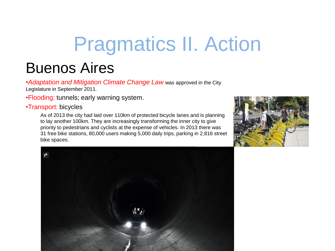# Pragmatics II. Action

# Buenos Aires

•*Adaptation and Mitigation Climate Change Law* was approved in the City Legislature in September 2011.

•Flooding: tunnels; early warning system.

#### •Transport: bicycles

As of 2013 the city had laid over 110km of protected bicycle lanes and is planning to lay another 100km. They are increasingly transforming the inner city to give priority to pedestrians and cyclists at the expense of vehicles. In 2013 there was 31 free bike stations, 80,000 users making 5,000 daily trips, parking in 2,816 street bike spaces.



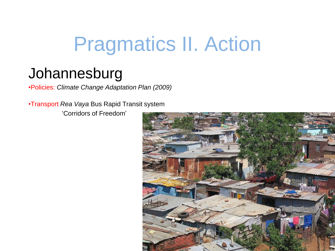# Pragmatics II. Action

# Johannesburg

•Policies: *Climate Change Adaptation Plan (2009)*

•Transport *Rea Vaya* Bus Rapid Transit system

'Corridors of Freedom'

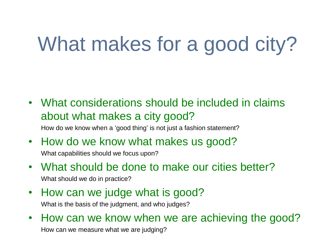# What makes for a good city?

• What considerations should be included in claims about what makes a city good?

How do we know when a 'good thing' is not just a fashion statement?

- How do we know what makes us good? What capabilities should we focus upon?
- What should be done to make our cities better? What should we do in practice?
- How can we judge what is good?

What is the basis of the judgment, and who judges?

• How can we know when we are achieving the good? How can we measure what we are judging?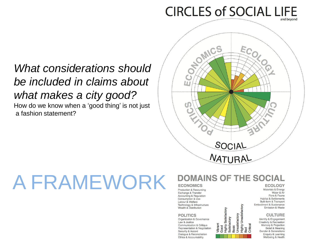# **CIRCLES of SOCIAL LIFE**

### *What considerations should be included in claims about what makes a city good?* How do we know when a 'good thing' is not just a fashion statement?



# A FRAMEWORK

### **DOMAINS OF THE SOCIAL**

Good<br>Highly Satisfactory<br>Satisfactory

Vibrant

**Highly Unsatisfactory** 

Jnsatisfactory

**Basic** 

#### **ECONOMICS**

**Production & Resourcing** Exchange & Transfer **Accounting & Regulation** Consumption & Use Labour & Welfare Technology & Infrastructure Wealth & Distribution

#### **POLITICS**

Organization & Governance Law & Justice Communication & Critique Representation & Negotiation Security & Accord Dialogue & Reconciliation Ethics & Accountability

#### **ECOLOGY**

Materials & Energy Water & Air Flora & Fauna **Habitat & Settlements** Built-form & Transport Embodiment & Sustenance

> Identity & Engagement **Creativity & Recreation** Memory & Projection Belief & Meaning Gender & Generations Enquiry & Learning Wellbeing & Health

Emission & Waste **CULTURE**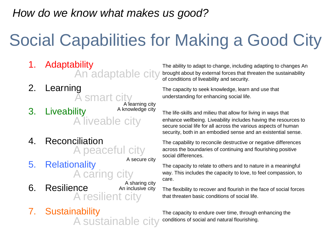### *How do we know what makes us good?*

# Social Capabilities for Making a Good City

1. Adaptability The ability The ability to adapt to change, including adapting to changes An An adaptable city

A liveable city

A smart city A learning city A knowledge city

4. Reconciliation The capability to reconcile destructive or negative differences A peaceful city

A secure city

- A caring city
- 6. Resilience An inclusive city The flexibility to recover and flourish in the face of social forces A resilient city A sharing city An inclusive city
- 7. Sustainability The capacity to endure over time, through enhancing the A sustainable city

brought about by external forces that threaten the sustainability of conditions of liveability and security.

2. Learning The capacity to seek knowledge, learn and use that understanding for enhancing social life.

3. Liveability **A** knowledge city The life-skills and milieu that allow for living in ways that enhance wellbeing. Liveability includes having the resources to secure social life for all across the various aspects of human security, both in an embodied sense and an existential sense.

> across the boundaries of continuing and flourishing positive social differences.

5. Relationality The capacity to relate to others and to nature in a meaningful way. This includes the capacity to love, to feel compassion, to care.

that threaten basic conditions of social life.

conditions of social and natural flourishing.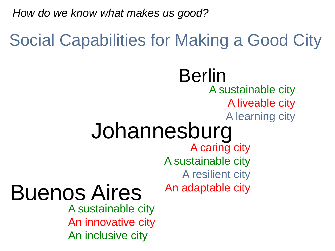*How do we know what makes us good?*

# Social Capabilities for Making a Good City

# A caring city A sustainable city A resilient city An adaptable city Johannesburg Buenos Aires Berlin A sustainable city A liveable city A learning city

A sustainable city An innovative city An inclusive city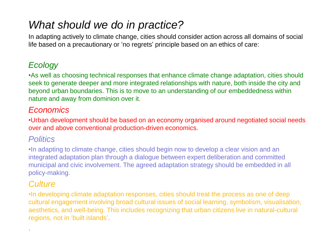## *What should we do in practice?*

In adapting actively to climate change, cities should consider action across all domains of social life based on a precautionary or 'no regrets' principle based on an ethics of care:

### *Ecology*

•As well as choosing technical responses that enhance climate change adaptation, cities should seek to generate deeper and more integrated relationships with nature, both inside the city and beyond urban boundaries. This is to move to an understanding of our embeddedness within nature and away from dominion over it.

### *Economics*

•Urban development should be based on an economy organised around negotiated social needs over and above conventional production-driven economics.

### *Politics*

•In adapting to climate change, cities should begin now to develop a clear vision and an integrated adaptation plan through a dialogue between expert deliberation and committed municipal and civic involvement. The agreed adaptation strategy should be embedded in all policy-making.

### *Culture*

.

•In developing climate adaptation responses, cities should treat the process as one of deep cultural engagement involving broad cultural issues of social learning, symbolism, visualisation, aesthetics, and well-being. This includes recognizing that urban citizens live in natural-cultural regions, not in 'built islands'.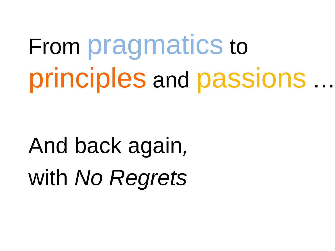From pragmatics to principles and passions …

And back again*,*  with *No Regrets*